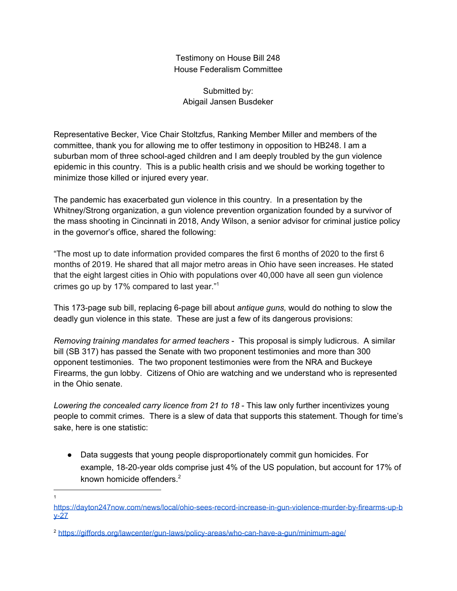Testimony on House Bill 248 House Federalism Committee

Submitted by: Abigail Jansen Busdeker

Representative Becker, Vice Chair Stoltzfus, Ranking Member Miller and members of the committee, thank you for allowing me to offer testimony in opposition to HB248. I am a suburban mom of three school-aged children and I am deeply troubled by the gun violence epidemic in this country. This is a public health crisis and we should be working together to minimize those killed or injured every year.

The pandemic has exacerbated gun violence in this country. In a presentation by the Whitney/Strong organization, a gun violence prevention organization founded by a survivor of the mass shooting in Cincinnati in 2018, Andy Wilson, a senior advisor for criminal justice policy in the governor's office, shared the following:

"The most up to date information provided compares the first 6 months of 2020 to the first 6 months of 2019. He shared that all major metro areas in Ohio have seen increases. He stated that the eight largest cities in Ohio with populations over 40,000 have all seen gun violence crimes go up by 17% compared to last year." 1

This 173-page sub bill, replacing 6-page bill about *antique guns,* would do nothing to slow the deadly gun violence in this state. These are just a few of its dangerous provisions:

*Removing training mandates for armed teachers* - This proposal is simply ludicrous. A similar bill (SB 317) has passed the Senate with two proponent testimonies and more than 300 opponent testimonies. The two proponent testimonies were from the NRA and Buckeye Firearms, the gun lobby. Citizens of Ohio are watching and we understand who is represented in the Ohio senate.

*Lowering the concealed carry licence from 21 to 18* - This law only further incentivizes young people to commit crimes. There is a slew of data that supports this statement. Though for time's sake, here is one statistic:

● Data suggests that young people disproportionately commit gun homicides. For example, 18-20-year olds comprise just 4% of the US population, but account for 17% of known homicide offenders. 2

1

[https://dayton247now.com/news/local/ohio-sees-record-increase-in-gun-violence-murder-by-firearms-up-b](https://dayton247now.com/news/local/ohio-sees-record-increase-in-gun-violence-murder-by-firearms-up-by-27) [y-27](https://dayton247now.com/news/local/ohio-sees-record-increase-in-gun-violence-murder-by-firearms-up-by-27)

<sup>2</sup> <https://giffords.org/lawcenter/gun-laws/policy-areas/who-can-have-a-gun/minimum-age/>